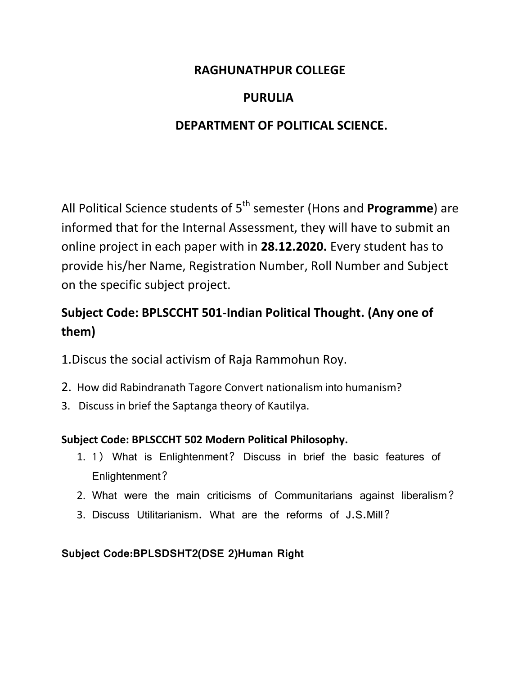### **RAGHUNATHPUR COLLEGE**

## **PURULIA**

## **DEPARTMENT OF POLITICAL SCIENCE.**

All Political Science students of 5<sup>th</sup> semester (Hons and **Programme**) are informed that for the Internal Assessment, they will have to submit an online project in each paper with in **28.12.2020.** Every student has to provide his/her Name, Registration Number, Roll Number and Subject on the specific subject project.

# **Subject Code: BPLSCCHT 501-Indian Political Thought. (Any one of them)**

- 1.Discus the social activism of Raja Rammohun Roy.
- 2. How did Rabindranath Tagore Convert nationalism into humanism?
- 3. Discuss in brief the Saptanga theory of Kautilya.

### **Subject Code: BPLSCCHT 502 Modern Political Philosophy.**

- 1. 1) What is Enlightenment? Discuss in brief the basic features of Enlightenment?
- 2. What were the main criticisms of Communitarians against liberalism?
- 3. Discuss Utilitarianism. What are the reforms of J.S.Mill?

#### **Subject Code:BPLSDSHT2(DSE 2)Human Right**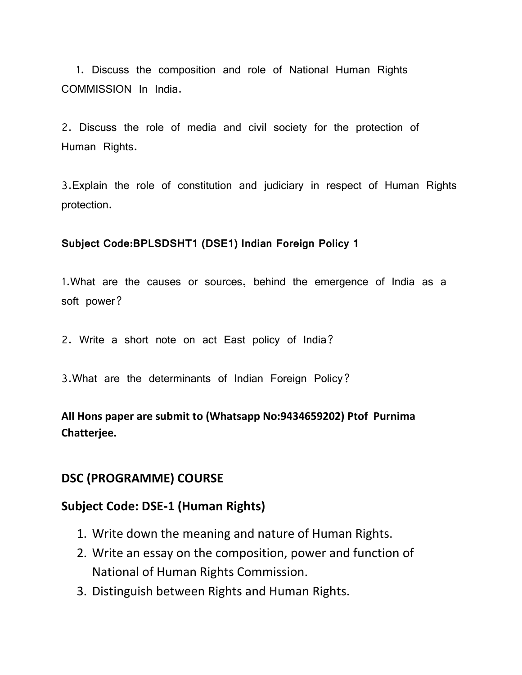1. Discuss the composition and role of National Human Rights COMMISSION In India.

2. Discuss the role of media and civil society for the protection of Human Rights.

3.Explain the role of constitution and judiciary in respect of Human Rights protection.

#### **Subject Code:BPLSDSHT1 (DSE1) Indian Foreign Policy 1**

1.What are the causes or sources, behind the emergence of India as a soft power?

2. Write a short note on act East policy of India?

3.What are the determinants of Indian Foreign Policy?

**All Hons paper are submit to (Whatsapp No:9434659202) Ptof Purnima Chatterjee.** 

#### **DSC (PROGRAMME) COURSE**

#### **Subject Code: DSE-1 (Human Rights)**

- 1. Write down the meaning and nature of Human Rights.
- 2. Write an essay on the composition, power and function of National of Human Rights Commission.
- 3. Distinguish between Rights and Human Rights.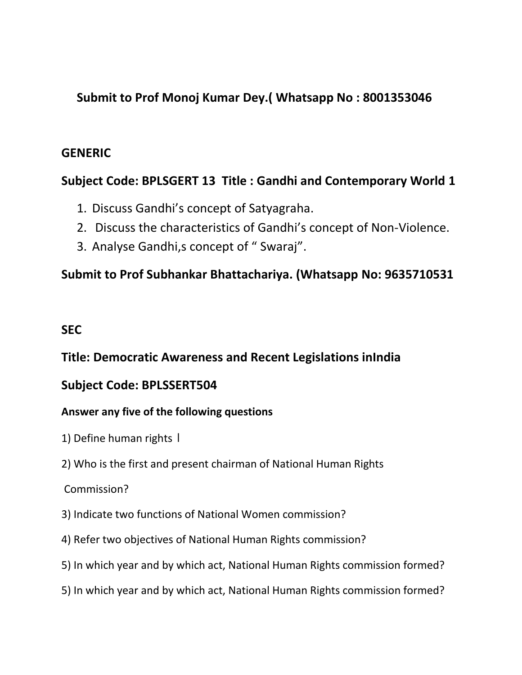## **Submit to Prof Monoj Kumar Dey.( Whatsapp No : 8001353046**

### **GENERIC**

## **Subject Code: BPLSGERT 13 Title : Gandhi and Contemporary World 1**

- 1. Discuss Gandhi's concept of Satyagraha.
- 2. Discuss the characteristics of Gandhi's concept of Non-Violence.
- 3. Analyse Gandhi,s concept of " Swaraj".

## **Submit to Prof Subhankar Bhattachariya. (Whatsapp No: 9635710531**

## **SEC**

## **Title: Democratic Awareness and Recent Legislations inIndia**

### **Subject Code: BPLSSERT504**

### **Answer any five of the following questions**

- 1) Define human rights ।
- 2) Who is the first and present chairman of National Human Rights

### Commission?

- 3) Indicate two functions of National Women commission?
- 4) Refer two objectives of National Human Rights commission?
- 5) In which year and by which act, National Human Rights commission formed?
- 5) In which year and by which act, National Human Rights commission formed?